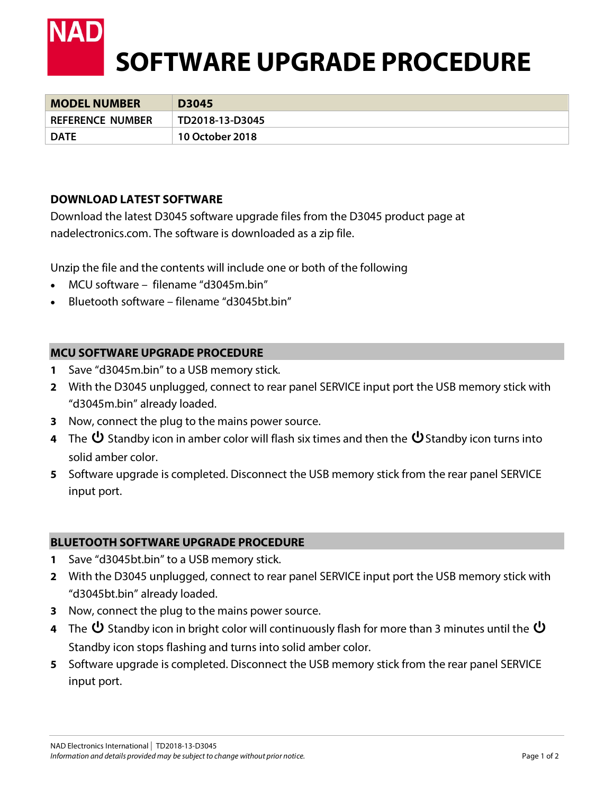

| <b>MODEL NUMBER</b>     | D3045           |
|-------------------------|-----------------|
| <b>REFERENCE NUMBER</b> | TD2018-13-D3045 |
| <b>DATE</b>             | 10 October 2018 |

### **DOWNLOAD LATEST SOFTWARE**

Download the latest D3045 software upgrade files from the D3045 product page at nadelectronics.com. The software is downloaded as a zip file.

Unzip the file and the contents will include one or both of the following

- MCU software filename "d3045m.bin"
- Bluetooth software filename "d3045bt.bin"

### **MCU SOFTWARE UPGRADE PROCEDURE**

- **1** Save "d3045m.bin" to a USB memory stick.
- **2** With the D3045 unplugged, connect to rear panel SERVICE input port the USB memory stick with "d3045m.bin" already loaded.
- **3** Now, connect the plug to the mains power source.
- **4** The  $\bf{U}$  Standby icon in amber color will flash six times and then the  $\bf{U}$  Standby icon turns into solid amber color.
- **5** Software upgrade is completed. Disconnect the USB memory stick from the rear panel SERVICE input port.

### **BLUETOOTH SOFTWARE UPGRADE PROCEDURE**

- **1** Save "d3045bt.bin" to a USB memory stick.
- **2** With the D3045 unplugged, connect to rear panel SERVICE input port the USB memory stick with "d3045bt.bin" already loaded.
- **3** Now, connect the plug to the mains power source.
- **4** The  $\bf{U}$  Standby icon in bright color will continuously flash for more than 3 minutes until the  $\bf{U}$ Standby icon stops flashing and turns into solid amber color.
- **5** Software upgrade is completed. Disconnect the USB memory stick from the rear panel SERVICE input port.